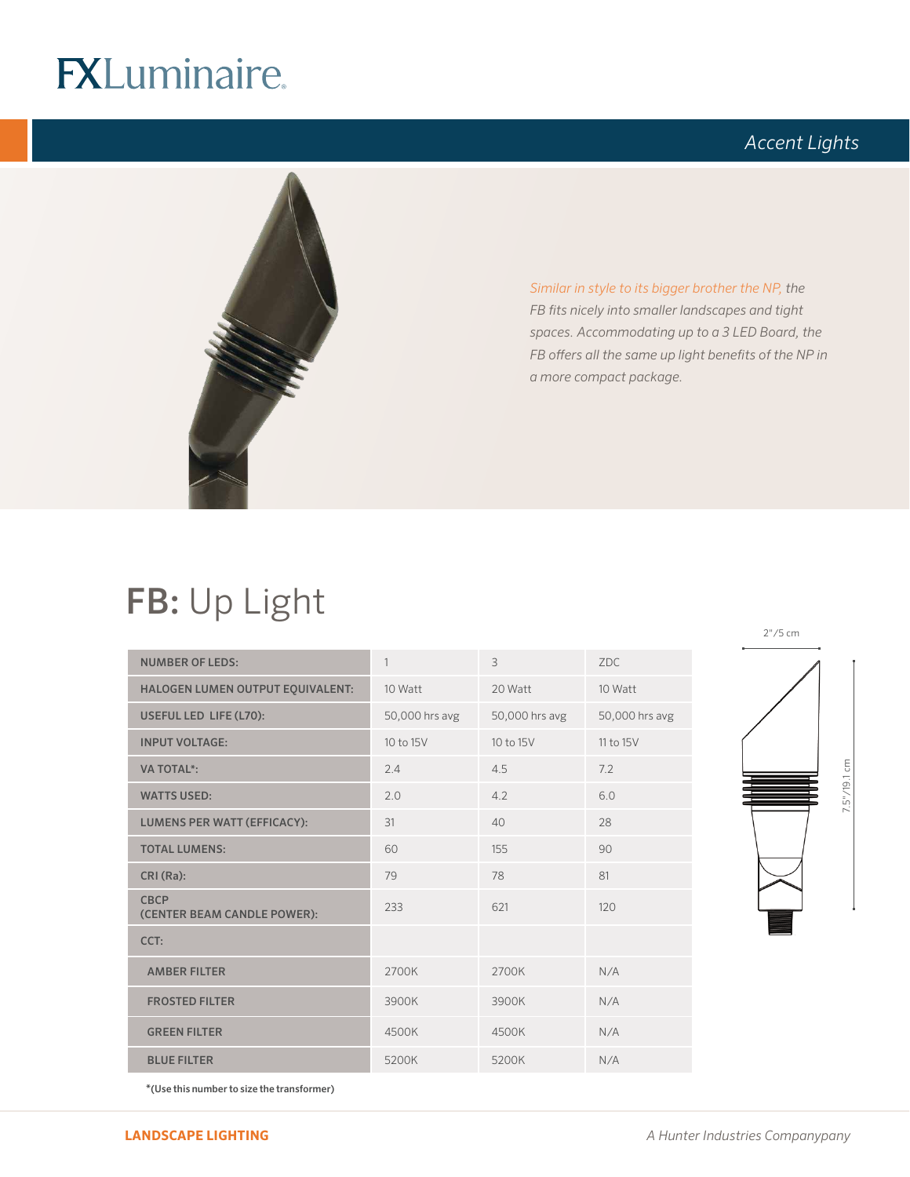# **FXLuminaire.**

## *Accent Lights*



*Similar in style to its bigger brother the NP, the FB fits nicely into smaller landscapes and tight spaces. Accommodating up to a 3 LED Board, the FB offers all the same up light benefits of the NP in a more compact package.* 

## FB: Up Light

| <b>NUMBER OF LEDS:</b>                     | 1              | $\overline{3}$ | ZDC.           |
|--------------------------------------------|----------------|----------------|----------------|
| HALOGEN LUMEN OUTPUT EQUIVALENT:           | 10 Watt        | 20 Watt        | 10 Watt        |
| USEFUL LED LIFE (L70):                     | 50,000 hrs avg | 50,000 hrs avg | 50,000 hrs avg |
| <b>INPUT VOLTAGE:</b>                      | 10 to 15V      | 10 to 15V      | 11 to 15V      |
| <b>VA TOTAL*:</b>                          | 2.4            | 4.5            | 7.2            |
| <b>WATTS USED:</b>                         | 2.0            | 4.2            | 6.0            |
| <b>LUMENS PER WATT (EFFICACY):</b>         | 31             | 40             | 28             |
| <b>TOTAL LUMENS:</b>                       | 60             | 155            | 90             |
| CRI (Ra):                                  | 79             | 78             | 81             |
| <b>CBCP</b><br>(CENTER BEAM CANDLE POWER): | 233            | 621            | 120            |
| CCT:                                       |                |                |                |
| <b>AMBER FILTER</b>                        | 2700K          | 2700K          | N/A            |
| <b>FROSTED FILTER</b>                      | 3900K          | 3900K          | N/A            |
| <b>GREEN FILTER</b>                        | 4500K          | 4500K          | N/A            |
| <b>BLUE FILTER</b>                         | 5200K          | 5200K          | N/A            |



\*(Use this number to size the transformer)